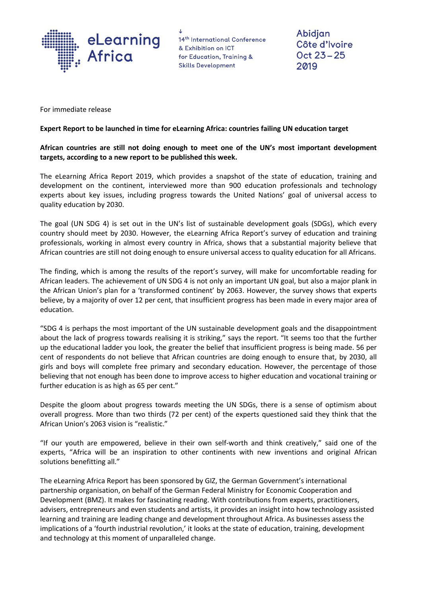

14th International Conference & Exhibition on ICT for Education, Training & **Skills Development** 

Abidjan Côte d'Ivoire Oct 23-25 2019

For immediate release

#### **Expert Report to be launched in time for eLearning Africa: countries failing UN education target**

**African countries are still not doing enough to meet one of the UN's most important development targets, according to a new report to be published this week.**

The eLearning Africa Report 2019, which provides a snapshot of the state of education, training and development on the continent, interviewed more than 900 education professionals and technology experts about key issues, including progress towards the United Nations' goal of universal access to quality education by 2030.

The goal (UN SDG 4) is set out in the UN's list of sustainable development goals (SDGs), which every country should meet by 2030. However, the eLearning Africa Report's survey of education and training professionals, working in almost every country in Africa, shows that a substantial majority believe that African countries are still not doing enough to ensure universal access to quality education for all Africans.

The finding, which is among the results of the report's survey, will make for uncomfortable reading for African leaders. The achievement of UN SDG 4 is not only an important UN goal, but also a major plank in the African Union's plan for a 'transformed continent' by 2063. However, the survey shows that experts believe, by a majority of over 12 per cent, that insufficient progress has been made in every major area of education.

"SDG 4 is perhaps the most important of the UN sustainable development goals and the disappointment about the lack of progress towards realising it is striking," says the report. "It seems too that the further up the educational ladder you look, the greater the belief that insufficient progress is being made. 56 per cent of respondents do not believe that African countries are doing enough to ensure that, by 2030, all girls and boys will complete free primary and secondary education. However, the percentage of those believing that not enough has been done to improve access to higher education and vocational training or further education is as high as 65 per cent."

Despite the gloom about progress towards meeting the UN SDGs, there is a sense of optimism about overall progress. More than two thirds (72 per cent) of the experts questioned said they think that the African Union's 2063 vision is "realistic."

"If our youth are empowered, believe in their own self-worth and think creatively," said one of the experts, "Africa will be an inspiration to other continents with new inventions and original African solutions benefitting all."

The eLearning Africa Report has been sponsored by GIZ, the German Government's international partnership organisation, on behalf of the German Federal Ministry for Economic Cooperation and Development (BMZ). It makes for fascinating reading. With contributions from experts, practitioners, advisers, entrepreneurs and even students and artists, it provides an insight into how technology assisted learning and training are leading change and development throughout Africa. As businesses assess the implications of a 'fourth industrial revolution,' it looks at the state of education, training, development and technology at this moment of unparalleled change.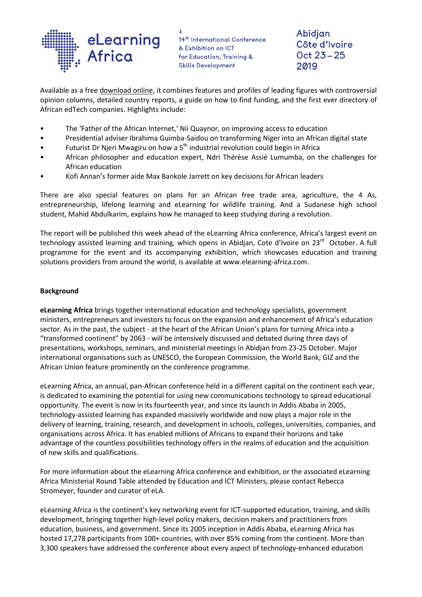

14th International Conference & Exhibition on ICT for Education, Training & **Skills Development** 

Abidjan Côte d'Ivoire Oct 23-25 2019

Available as a free [download](https://www.icwe-secretariat.com/elearning-africa/elearning_africa_report_2019.php) online, it combines features and profiles of leading figures with controversial opinion columns, detailed country reports, a guide on how to find funding, and the first ever directory of African edTech companies. Highlights include:

- The 'Father of the African Internet,' Nii Quaynor, on improving access to education
- Presidential adviser Ibrahima Guimba-Saidou on transforming Niger into an African digital state
- Futurist Dr Njeri Mwagiru on how a 5<sup>th</sup> industrial revolution could begin in Africa
- African philosopher and education expert, Ndri Thérèse Assié Lumumba, on the challenges for African education
- Kofi Annan's former aide Max Bankole Jarrett on key decisions for African leaders

There are also special features on plans for an African free trade area, agriculture, the 4 As, entrepreneurship, lifelong learning and eLearning for wildlife training. And a Sudanese high school student, Mahid Abdulkarim, explains how he managed to keep studying during a revolution.

The report will be published this week ahead of the eLearning Africa conference, Africa's largest event on technology assisted learning and training, which opens in Abidjan, Cote d'Ivoire on 23<sup>rd</sup> October. A full programme for the event and its accompanying exhibition, which showcases education and training solutions providers from around the world, is available at www.elearning-africa.com.

#### **Background**

**eLearning Africa** brings together international education and technology specialists, government ministers, entrepreneurs and investors to focus on the expansion and enhancement of Africa's education sector. As in the past, the subject - at the heart of the African Union's plans for turning Africa into a "transformed continent" by 2063 - will be intensively discussed and debated during three days of presentations, workshops, seminars, and ministerial meetings in Abidjan from 23-25 October. Major international organisations such as UNESCO, the European Commission, the World Bank, GIZ and the African Union feature prominently on the conference programme.

eLearning Africa, an annual, pan-African conference held in a different capital on the continent each year, is dedicated to examining the potential for using new communications technology to spread educational opportunity. The event is now in its fourteenth year, and since its launch in Addis Ababa in 2005, technology-assisted learning has expanded massively worldwide and now plays a major role in the delivery of learning, training, research, and development in schools, colleges, universities, companies, and organisations across Africa. It has enabled millions of Africans to expand their horizons and take advantage of the countless possibilities technology offers in the realms of education and the acquisition of new skills and qualifications.

For more information about the eLearning Africa conference and exhibition, or the associated eLearning Africa Ministerial Round Table attended by Education and ICT Ministers, please contact Rebecca Stromeyer, founder and curator of eLA.

eLearning Africa is the continent's key networking event for ICT-supported education, training, and skills development, bringing together high-level policy makers, decision makers and practitioners from education, business, and government. Since its 2005 inception in Addis Ababa, eLearning Africa has hosted 17,278 participants from 100+ countries, with over 85% coming from the continent. More than 3,300 speakers have addressed the conference about every aspect of technology-enhanced education